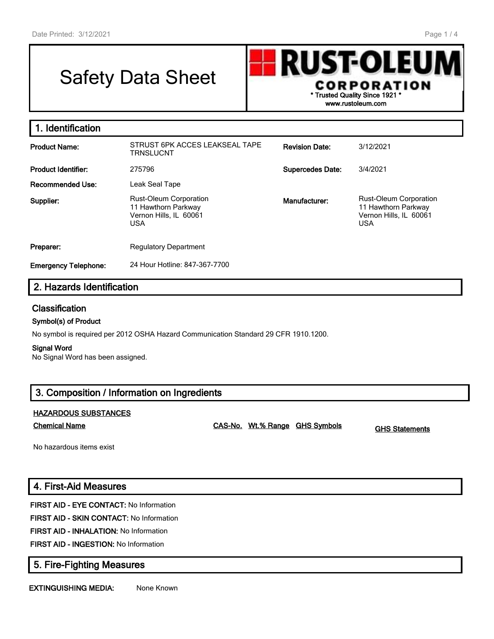# Safety Data Sheet



| 1. Identification           |                                                                                              |                         |                                                                                              |
|-----------------------------|----------------------------------------------------------------------------------------------|-------------------------|----------------------------------------------------------------------------------------------|
| <b>Product Name:</b>        | STRUST 6PK ACCES LEAKSEAL TAPE<br>TRNSLUCNT                                                  | <b>Revision Date:</b>   | 3/12/2021                                                                                    |
| <b>Product Identifier:</b>  | 275796                                                                                       | <b>Supercedes Date:</b> | 3/4/2021                                                                                     |
| Recommended Use:            | Leak Seal Tape                                                                               |                         |                                                                                              |
| Supplier:                   | <b>Rust-Oleum Corporation</b><br>11 Hawthorn Parkway<br>Vernon Hills, IL 60061<br><b>USA</b> | Manufacturer:           | <b>Rust-Oleum Corporation</b><br>11 Hawthorn Parkway<br>Vernon Hills, IL 60061<br><b>USA</b> |
| Preparer:                   | <b>Regulatory Department</b>                                                                 |                         |                                                                                              |
| <b>Emergency Telephone:</b> | 24 Hour Hotline: 847-367-7700                                                                |                         |                                                                                              |

# **2. Hazards Identification**

# **Classification**

#### **Symbol(s) of Product**

No symbol is required per 2012 OSHA Hazard Communication Standard 29 CFR 1910.1200.

#### **Signal Word**

No Signal Word has been assigned.

# **3. Composition / Information on Ingredients**

#### **HAZARDOUS SUBSTANCES**

**Chemical Name CAS-No. Wt.% Range GHS Symbols GHS Statements**

No hazardous items exist

# **4. First-Aid Measures**

**FIRST AID - EYE CONTACT:** No Information

**FIRST AID - SKIN CONTACT:** No Information

**FIRST AID - INHALATION:** No Information

**FIRST AID - INGESTION:** No Information

# **5. Fire-Fighting Measures**

**EXTINGUISHING MEDIA:** None Known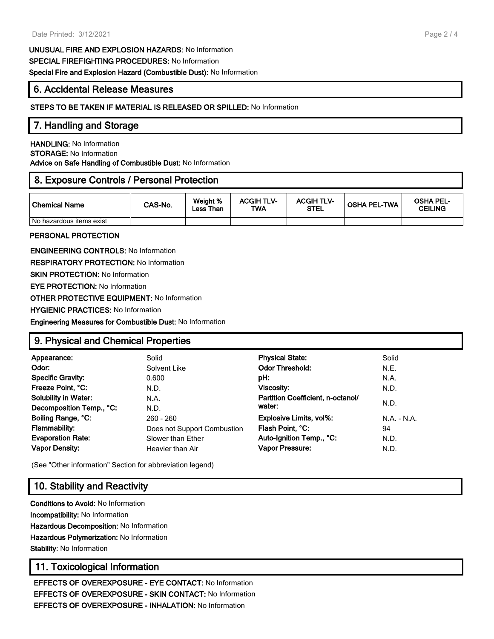**UNUSUAL FIRE AND EXPLOSION HAZARDS:** No Information **SPECIAL FIREFIGHTING PROCEDURES:** No Information **Special Fire and Explosion Hazard (Combustible Dust):** No Information

# **6. Accidental Release Measures**

#### **STEPS TO BE TAKEN IF MATERIAL IS RELEASED OR SPILLED:** No Information

### **7. Handling and Storage**

**HANDLING:** No Information **STORAGE:** No Information **Advice on Safe Handling of Combustible Dust:** No Information

# **8. Exposure Controls / Personal Protection**

| Chemical Name            | CAS-No. | Weight %<br>Less Than | <b>ACGIH TLV-</b><br>TWA | <b>ACGIH TLV-</b><br><b>STEL</b> | <b>OSHA PEL-TWA</b> | <b>OSHA PEL-</b><br><b>CEILING</b> |
|--------------------------|---------|-----------------------|--------------------------|----------------------------------|---------------------|------------------------------------|
| No hazardous items exist |         |                       |                          |                                  |                     |                                    |

#### **PERSONAL PROTECTION**

**ENGINEERING CONTROLS:** No Information **RESPIRATORY PROTECTION:** No Information **SKIN PROTECTION: No Information EYE PROTECTION:** No Information **OTHER PROTECTIVE EQUIPMENT:** No Information **HYGIENIC PRACTICES:** No Information **Engineering Measures for Combustible Dust:** No Information

# **9. Physical and Chemical Properties**

| Appearance:<br>Odor:<br><b>Specific Gravity:</b><br>Freeze Point, °C:<br><b>Solubility in Water:</b> | Solid<br>Solvent Like<br>0.600<br>N.D.<br>N.A. | <b>Physical State:</b><br><b>Odor Threshold:</b><br>pH:<br>Viscosity:<br>Partition Coefficient, n-octanol/ | Solid<br>N.E.<br>N.A.<br>N.D. |
|------------------------------------------------------------------------------------------------------|------------------------------------------------|------------------------------------------------------------------------------------------------------------|-------------------------------|
| Decomposition Temp., °C:                                                                             | N.D.                                           | water:                                                                                                     | N.D.                          |
| Boiling Range, °C:                                                                                   | 260 - 260                                      | <b>Explosive Limits, vol%:</b>                                                                             | $N.A. - N.A.$                 |
| Flammability:                                                                                        | Does not Support Combustion                    | Flash Point, °C:                                                                                           | 94                            |
| <b>Evaporation Rate:</b>                                                                             | Slower than Ether                              | Auto-Ignition Temp., °C:                                                                                   | N.D.                          |
| <b>Vapor Density:</b>                                                                                | Heavier than Air                               | Vapor Pressure:                                                                                            | N.D.                          |

(See "Other information" Section for abbreviation legend)

# **10. Stability and Reactivity**

**Conditions to Avoid:** No Information **Incompatibility:** No Information **Hazardous Decomposition:** No Information **Hazardous Polymerization:** No Information **Stability:** No Information

# **11. Toxicological Information**

**EFFECTS OF OVEREXPOSURE - EYE CONTACT:** No Information **EFFECTS OF OVEREXPOSURE - SKIN CONTACT:** No Information **EFFECTS OF OVEREXPOSURE - INHALATION:** No Information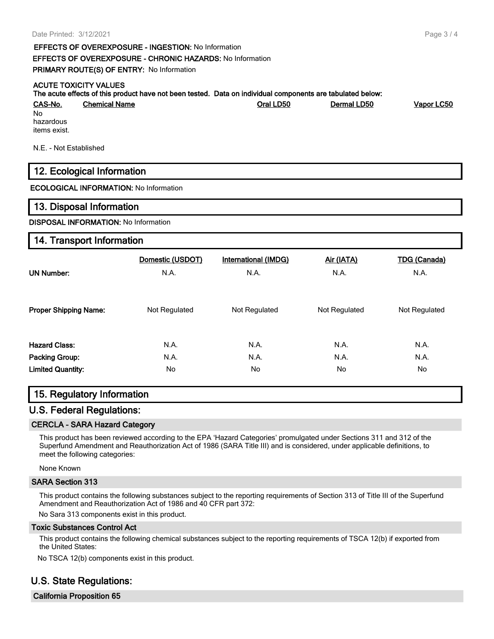**EFFECTS OF OVEREXPOSURE - INGESTION:** No Information **EFFECTS OF OVEREXPOSURE - CHRONIC HAZARDS:** No Information **PRIMARY ROUTE(S) OF ENTRY:** No Information

#### **ACUTE TOXICITY VALUES**

| The acute effects of this product have not been tested. Data on individual components are tabulated below: |                      |           |             |            |  |
|------------------------------------------------------------------------------------------------------------|----------------------|-----------|-------------|------------|--|
| <u>CAS-No.</u>                                                                                             | <b>Chemical Name</b> | Oral LD50 | Dermal LD50 | Vapor LC50 |  |
| No.<br>hazardous<br>items exist.                                                                           |                      |           |             |            |  |

N.E. - Not Established

# **12. Ecological Information**

**ECOLOGICAL INFORMATION:** No Information

#### **13. Disposal Information**

#### **DISPOSAL INFORMATION:** No Information

#### **14. Transport Information**

| <b>UN Number:</b>            | Domestic (USDOT) | <b>International (IMDG)</b> | Air (IATA)    | <b>TDG (Canada)</b> |
|------------------------------|------------------|-----------------------------|---------------|---------------------|
|                              | N.A.             | N.A.                        | N.A.          | N.A.                |
| <b>Proper Shipping Name:</b> | Not Regulated    | Not Regulated               | Not Regulated | Not Regulated       |
| <b>Hazard Class:</b>         | N.A.             | N.A.                        | N.A.          | N.A.                |
| <b>Packing Group:</b>        | N.A.             | N.A.                        | N.A.          | N.A.                |
| <b>Limited Quantity:</b>     | No.              | No                          | No.           | No                  |

### **15. Regulatory Information**

### **U.S. Federal Regulations:**

#### **CERCLA - SARA Hazard Category**

This product has been reviewed according to the EPA 'Hazard Categories' promulgated under Sections 311 and 312 of the Superfund Amendment and Reauthorization Act of 1986 (SARA Title III) and is considered, under applicable definitions, to meet the following categories:

None Known

#### **SARA Section 313**

This product contains the following substances subject to the reporting requirements of Section 313 of Title III of the Superfund Amendment and Reauthorization Act of 1986 and 40 CFR part 372:

No Sara 313 components exist in this product.

#### **Toxic Substances Control Act**

This product contains the following chemical substances subject to the reporting requirements of TSCA 12(b) if exported from the United States:

No TSCA 12(b) components exist in this product.

# **U.S. State Regulations:**

**California Proposition 65**